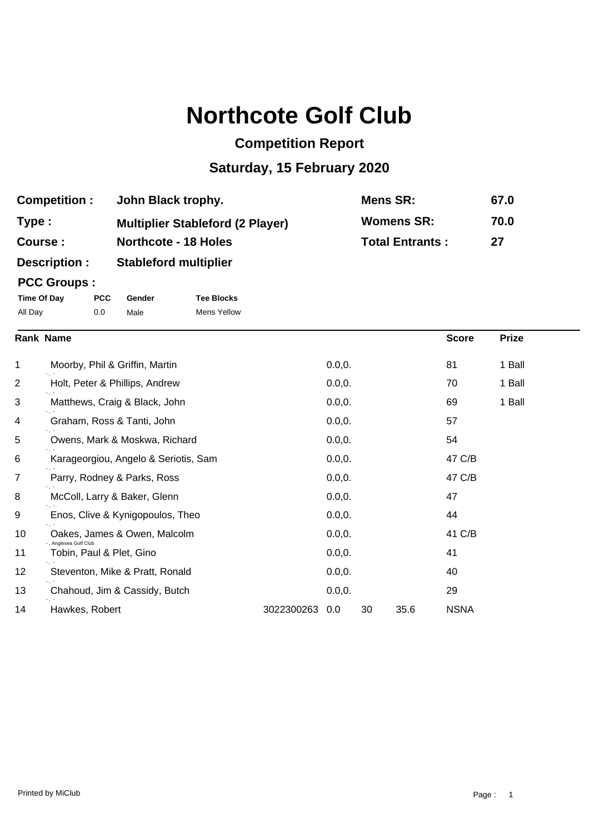## **Northcote Golf Club**

## **Competition Report**

## **Saturday, 15 February 2020**

| <b>Competition:</b> | John Black trophy.                      | Mens SR:               | 67.0 |
|---------------------|-----------------------------------------|------------------------|------|
| Type :              | <b>Multiplier Stableford (2 Player)</b> | <b>Womens SR:</b>      | 70.0 |
| <b>Course :</b>     | <b>Northcote - 18 Holes</b>             | <b>Total Entrants:</b> | 27   |
| <b>Description:</b> | <b>Stableford multiplier</b>            |                        |      |

## **PCC Groups :**

| Time Of Day | <b>PCC</b> | Gender | <b>Tee Blocks</b> |
|-------------|------------|--------|-------------------|
| All Day     | 0.0        | Male   | Mens Yellow       |

|    | <b>Rank Name</b>                                 |            |         |    |      | <b>Score</b> | <b>Prize</b> |  |
|----|--------------------------------------------------|------------|---------|----|------|--------------|--------------|--|
| 1  | Moorby, Phil & Griffin, Martin                   |            | 0.0, 0. |    |      | 81           | 1 Ball       |  |
| 2  | Holt, Peter & Phillips, Andrew                   |            | 0.0, 0. |    |      | 70           | 1 Ball       |  |
| 3  | Matthews, Craig & Black, John                    |            | 0.0, 0. |    |      | 69           | 1 Ball       |  |
| 4  | Graham, Ross & Tanti, John                       |            | 0.0, 0. |    |      | 57           |              |  |
| 5  | Owens, Mark & Moskwa, Richard                    |            | 0.0, 0. |    |      | 54           |              |  |
| 6  | Karageorgiou, Angelo & Seriotis, Sam             |            | 0.0, 0. |    |      | 47 C/B       |              |  |
| 7  | Parry, Rodney & Parks, Ross                      |            | 0.0, 0. |    |      | 47 C/B       |              |  |
| 8  | McColl, Larry & Baker, Glenn                     |            | 0.0, 0. |    |      | 47           |              |  |
| 9  | Enos, Clive & Kynigopoulos, Theo                 |            | 0.0, 0. |    |      | 44           |              |  |
| 10 | Oakes, James & Owen, Malcolm                     |            | 0.0, 0. |    |      | 41 C/B       |              |  |
| 11 | . Anglesea Golf Club<br>Tobin, Paul & Plet, Gino |            | 0.0, 0. |    |      | 41           |              |  |
| 12 | Steventon, Mike & Pratt, Ronald                  |            | 0.0, 0. |    |      | 40           |              |  |
| 13 | Chahoud, Jim & Cassidy, Butch                    |            | 0.0, 0. |    |      | 29           |              |  |
| 14 | Hawkes, Robert                                   | 3022300263 | 0.0     | 30 | 35.6 | <b>NSNA</b>  |              |  |